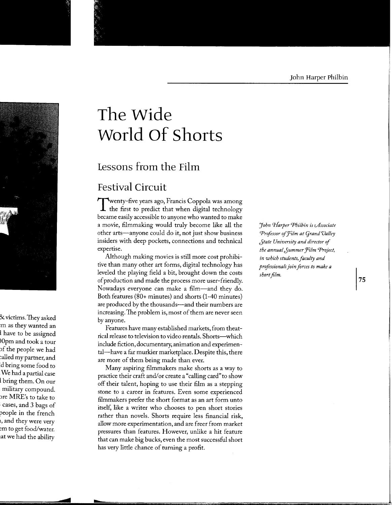# **The Wide World Of Shorts**

# **Lessons from the Film**

# **Festival Circuit**

Twenty-five years ago, Francis Coppola was among<br>the first to predict that when digital technology became easily accessible to anyone who wanted to make a movie, filmmaking would truly become like all the other arts-anyone could do it, not just show business insiders with deep pockets, connections and technical expertise.

Although making movies is still more cost prohibitive than many other art forms, digital technology has leveled the playing field a bit, brought down the costs of production and made the process more user-friendly. Nowadays everyone can make a film—and they do. Both features (80+ minutes) and shorts (1-40 minutes) are produced by the thousands-and their numbers are increasing.The problem is, most of them are never seen by anyone.

Features have many established markets, from theatrical release to television to video rentals. Shorts-which include fiction, documentary, animation and experimental-have a far murkier marketplace. Despite this, there are more of them being made than ever.

Many aspiring filmmakers make shorts as a way to practice their craft and/or create a "calling card" to show off their talent, hoping to use their film as a stepping stone to a career in features. Even some experienced filmmakers prefer the short format as an art form unto itself, like a writer who chooses to pen short stories rather than novels. Shorts require less financial risk, allow more experimentation, and are freer from market pressures than features. However, unlike a hit feature that can make big bucks, even the most successful short has very little chance of turning a profit.

*'John CJ-Iarper Philbin is cAssociate*  **Professor of Film at Grand Valley** *Jtate University and director* of *the annual Jummer Ji'ilm Project, in which students, faculty and professionals join forces to make a short film.*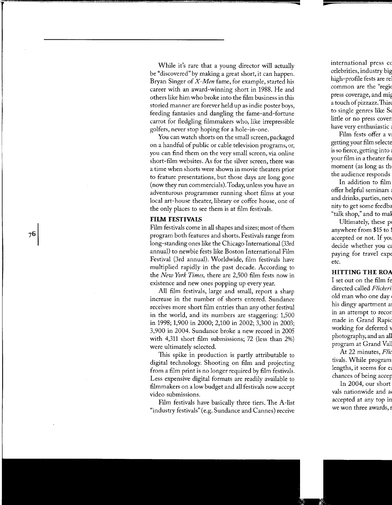While it's rare that a young director will actually be "discovered" by making a great short, it can happen. Bryan Singer of *X-Men* fame, for example, started his career with an award-winning short in 1988. He and others like him who broke into the film business in this storied manner are forever held up as indie poster boys, feedmg fantasies and dangling the fame-and-fortune carrot for fledgling filmmakers who, like irrepressible golfers, never stop hoping for a hole-in-one.

You can watch shorts on the small screen, packaged on a handful of public or cable television programs, or, you can find them on the very small screen, via online short-film websites. As for the silver screen, there was a time when shorts were shown in movie theaters prior to feature presentations, but those days are long gone (now they run commercials). Today, unless you have an adventurous programmer running short films at your local art-house theater, library or coffee house, one of the only places to see them is at film festivals.

#### **FILM FESTIVALS**

Film festivals come in all shapes and sizes; most of them program both features and shorts. Festivals range from long-standing ones like the Chicago International (33rd annual) to newbie fests like Boston International Film Festival (3rd annual). Worldwide, film festivals have multiplied rapidly in the past decade. According to the *New York Times,* there are *2,500* film fests now in existence and new ones popping up every year.

All film festivals, large and small, report a sharp increase in the number of shorts entered. Sundance receives more short film entries than any other festival in the world, and its numbers are staggering: 1,500 in 1998; 1,900 in 2000; 2,100 in 2002; 3,300 in 2003; 3,900 in 2004. Sundance broke a new record in 2005 with 4,311 short film submissions; 72 (less than 2%) were ultimately selected.

This spike in production is partly attributable to digital technology. Shooting on film and projecting from a film print is no longer required by film festivals. Less expensive digital formats are readily available to filmmakers on a low budget and all festivals now accept video submissions.

Film festivals have basically three tiers. The A-list "industry festivals" (e.g. Sundance and Cannes) receive

76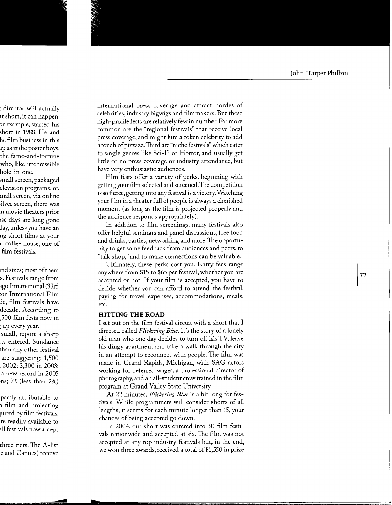international press coverage and attract hordes of celebrities, industry bigwigs and filmmakers. But these high-profile fests are relatively few in number. Far more common are the "regional festivals" that receive local press coverage, and might lure a token celebrity to add a touch of pizzazz. Third are "niche festivals" which cater to single genres like Sci-Fi or Horror, and usually get little or no press coverage or industry attendance, but have very enthusiastic audiences.

Film fests offer a variety of perks, beginning with getting your film selected and screened. The competition is so fierce, getting into any festival is a victory. Watching your film in a theater full of people is always a cherished moment (as long as the film is projected properly and the audience responds appropriately).

In addition to film screenings, many festivals also offer helpful seminars and panel discussions, free food and drinks, parties, networking and more. The opportunity to get some feedback from audiences and peers, to "talk shop," and to make connections can be valuable.

Ultimately, these perks cost you. Entry fees range anywhere from \$15 to \$65 per festival, whether you are accepted or not. If your film is accepted, you have to decide whether you can afford to attend the festival, paying for travel expenses, accommodations, meals, etc.

#### **HITTING THE ROAD**

I set out on the film festival circuit with a short that I directed called *Flickering Blue.* It's the story of a lonely old man who one day decides to turn off his TV, leave his dingy apartment and take a walk through the city in an attempt to reconnect with people. The film was made in Grand Rapids, Michigan, with SAG actors working for deferred wages, a professional director of photography, and an all-student crew trained in the film program at Grand Valley State University.

At 22 minutes, *Flickering Blue* is a bit long for festivals. While programmers will consider shorts of all lengths, it seems for each minute longer than 15, your chances of being accepted go down.

In 2004, our short was entered into 30 film festivals nationwide and accepted at six. The film was not accepted at any top industry festivals but, in the end, we won three awards, received a total of \$1,550 in prize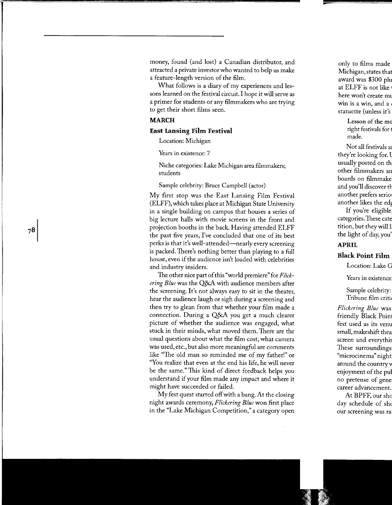money, found (and lost) a Canadian distributor, and attracted a private investor who wanted to help us make a feature-length version of the film.

What follows is a diary of my experiences and lessons learned on the festival circuit. I hope it will serve as a primer for students or any filmmakers who are trying to get their short films seen.

#### **MARCH**

#### **East Lansing Film Festival**

Location: Michigan

Years in existence: 7

Niche categories: Lake Michigan area filmmakers; students

Sample celebrity: Bruce Campbell (actor)

My first stop was the East Lansing Film Festival (ELFF), which takes place at Michigan State University in a single building on campus that houses a series of big lecture halls with movie screens in the front and projection booths in the back. Having attended ELFF the past five years, I've concluded that one of its best perks is that it's well-attended-nearly every screening is packed. There's nothing better than playing to a full house, even if the audience isn't loaded with celebrities and industry insiders.

The other nice part of this "world premiere" for *Flickering Blue* was the Q&A with audience members after the screening. It's not always easy to sit in the theater, hear the audience laugh or sigh during a screening and then try to glean from that whether your film made a connection. During a Q&A you get a much clearer picture of whether the audience was engaged, what stuck in their minds, what moved them. There are the usual questions about what the film cost, what camera was used, etc., but also more meaningful are comments like "The old man so reminded me of my father!" or "You realize that even at the end his life, he will never be the same." This kind of direct feedback helps you understand if your film made any impact and where it might have succeeded or failed.

My fest quest started off with a bang. At the closing night awards ceremony, *Flickering Blue* won first place in the "Lake Michigan Competition," a category open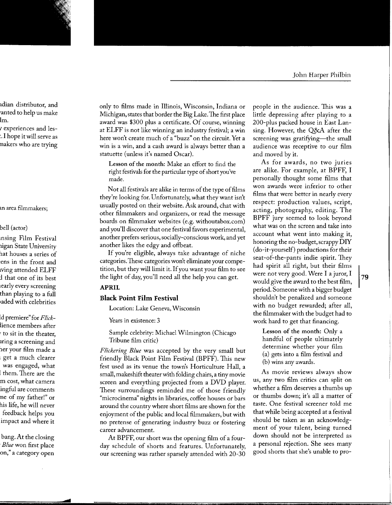only to films made in Illinois, Wisconsin, Indiana or Michigan, states that border the Big Lake. The first place award was \$300 plus a certificate. Of course, winning at ELFF is not like winning an industry festival; a win here won't create much of a "buzz" on the circuit. Yet a win is a win, and a cash award is always better than a statuette (unless it's named Oscar).

Lesson of the month: Make an effort to find the right festivals for the particular type of short you've made.

Not all festivals are alike in terms of the type of films they're looking for. Unfortunately, what they want isn't usually posted on their website. Ask around, chat with other filmmakers and organizers, or read the message boards on filmmaker websites (e.g. withoutabox.com) and you'll discover that one festival favors experimental, another prefers serious, socially-conscious work, and yet another likes the edgy and offbeat.

If you're eligible, always take advantage of niche categories. These categories won't eliminate your competition, but they will limit it. If you want your film to see the light of day, you'll need all the help you can get.

# **APRIL**

# **Black Point Film Festival**

Location: Lake Geneva, Wisconsin

Years in existence: 3

Sample celebrity: Michael Wilmington (Chicago Tribune film critic)

*Flickering Blue* was accepted by the very small but friendly Black Point Film Festival (BPFF). This new fest used as its venue the town's Horticulture Hall, a small, makeshift theater with folding chairs, a tiny movie screen and everything projected from a DVD player. These surroundings reminded me of those friendly "microcinema" nights in libraries, coffee houses or bars around the country where short films are shown for the enjoyment of the public and local filmmakers, but with no pretense of generating industry buzz or fostering career advancement.

At BPFF, our short was the opening film of a fourday schedule of shorts and features. Unfortunately, our screening was rather sparsely attended with 20-30 people in the audience. This was a little depressing after playing to a 200-plus packed house in East Lansing. However, the Q&A after the screening was gratifying—the small audience was receptive to our film and moved by it.

As for awards, no two juries are alike. For example, at BPFF, I personally thought some films that won awards were inferior to other films that were better in nearly every respect: production values, script, acting, photography, editing. The BPFF jury seemed to look beyond what was on the screen and take into account what went into making it, honoring the no-budget, scrappy DIY (do-it-yourself) productions for their seat-of-the-pants indie spirit. They had spirit all right, but their films were not very good. Were I a juror, I would give the award to the best film, period. Someone with a bigger budget shouldn't be penalized and someone with no budget rewarded; after all, the filmmaker with the budget had to work hard to get that financing.

Lesson of the month: Only a handful of people ultimately determine whether your film (a) gets into a film festival and (b) wins any awards.

As movie reviews always show us, any two film critics can split on whether a film deserves a thumbs up or thumbs down; it's all a matter of taste. One festival screener told me that while being accepted at a festival should be taken as an acknowledgment of your talent, being turned down should not be interpreted as a personal rejection. She sees many good shorts that she's unable to pro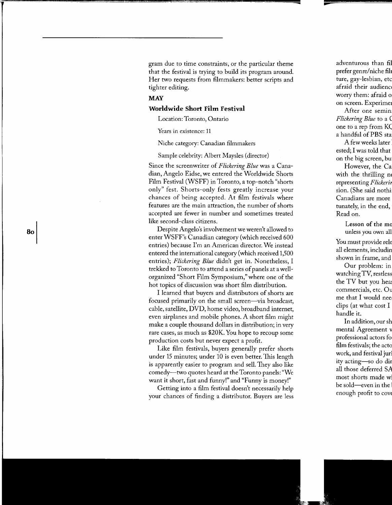gram due to time constraints, or the particular theme that the festival is trying to build its program around. Her two requests from filmmakers: better scripts and tighter editing.

# **MAY Worldwide Short Film Festival**

Location: Toronto, Ontario

Years in existence: 11

Niche category: Canadian filmmakers

Sample celebrity: Albert Maysles (director)

Since the screenwriter of *Flickering Blue* was a Canadian, Angelo Eidse, we entered the Worldwide Shorts Film Festival (WSFF) in Toronto, a top-notch "shorts only" fest. Shorts-only fests greatly increase your chances of being accepted. At film festivals where features are the main attraction, the number of shorts accepted are fewer in number and sometimes treated like second-class citizens.

Despite Angelo's involvement we weren't allowed to enter WSFF's Canadian category (which received 600 entries) because I'm an American director. We instead entered the international category (which received 1,500 entries); *Flickering Blue* didn't get in. Nonetheless, I trekked to Toronto to attend a series of panels at a wellorganized "Short Film Symposium," where one of the hot topics of discussion was short film distribution.

I learned that buyers and distributors of shorts are focused primarily on the small screen—via broadcast, cable, satellite, DVD, home video, broadband internet, even airplanes and mobile phones. A short film might make a couple thousand dollars in distribution; in very rare cases, as much as \$20K. You hope to recoup some production costs but never expect a profit.

Like film festivals, buyers generally prefer shorts under 15 minutes; under 10 is even better. This length is apparently easier to program and sell. They also like comedy-two quotes heard at the Toronto panels: "We want it short, fast and funny!" and "Funny is money!"

Getting into a film festival doesn't necessarily help your chances of finding a distributor. Buyers are less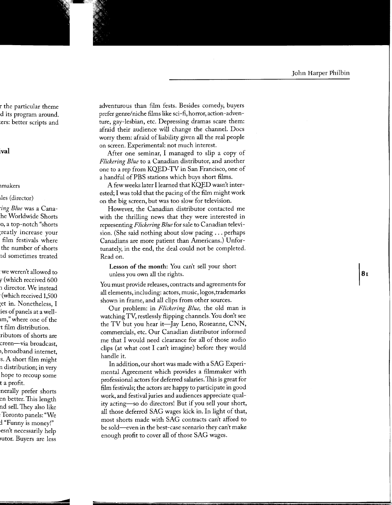adventurous than film fests. Besides comedy, buyers prefer genre/niche films like sci-fi, horror, action-adventure, gay-lesbian, etc. Depressing dramas scare them: afraid their audience will change the channel. Docs worry them: afraid of liability given all the real people on screen. Experimental: not much interest.

After one seminar, I managed to slip a copy of *Flickering Blue* to a Canadian distributor, and another one to a rep from KQED-TV in San Francisco, one of a handful of PBS stations which buys short films.

A few weeks later I learned that KQED wasn't interested; I was told that the pacing of the film might work on the big screen, but was too slow for television.

However, the Canadian distributor contacted me with the thrilling news that they were interested in representing *Flickering Blue* for sale to Canadian television. (She said nothing about slow pacing ... perhaps Canadians are more patient than Americans.) Unfortunately, in the end, the deal could not be completed. Read on.

Lesson of the month: You can't sell your short unless you own all the rights.

You must provide releases, contracts and agreements for all elements, including: actors, music, logos,trademarks shown in frame, and all clips from other sources.

Our problem: in *Flickering Blue,* the old man is watching TV, restlessly flipping channels. You don't see the TV but you hear it—Jay Leno, Roseanne, CNN, commercials, etc. Our Canadian distributor informed me that I would need clearance for all of those audio clips (at what cost I can't imagine) before they would handle it.

In addition, our short was made with a SAG Experimental Agreement which provides a filmmaker with professional actors for deferred salaries.This is great for film festivals; the actors are happy to participate in good work, and festival juries and audiences appreciate quality acting-so do directors! But if you sell your short, all those deferred SAG wages kick in. In light of that, most shorts made with SAG contracts can't afford to be sold-even in the best-case scenario they can't make enough profit to cover all of those SAG wages.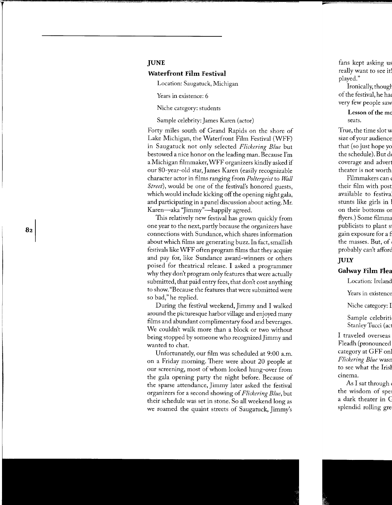### **JUNE**

# **Waterfront Film Festival**

Location: Saugatuck, Michigan

Years in existence: 6

Niche category: students

Sample celebrity: James Karen (actor)

Forty miles south of Grand Rapids on the shore of Lake Michigan, the Waterfront Film Festival (WFF) in Saugatuck not only selected *Flickering Blue* but bestowed a nice honor on the leading man. Because I'm a Michigan filmmaker, WFF organizers kindly asked if our 80-year-old star, James Karen (easily recognizable character actor in films ranging from *Poltergeist* to *Wall Street*), would be one of the festival's honored guests, which would include kicking off the opening night gala, and participating in a panel discussion about acting. Mr. Karen-aka "Jimmy"-happily agreed.

This relatively new festival has grown quickly from one year to the next, partly because the organizers have connections with Sundance, which shares information about which films are generating buzz. In fact, smallish festivals like WFF often program films that they acquire and pay for, like Sundance award-winners or others poised for theatrical release. I asked a programmer why they don't program only features that were actually submitted, that paid entry fees, that don't cost anything to show. "Because the features that were submitted were so bad," he replied.

During the festival weekend, Jimmy and I walked around the picturesque harbor village and enjoyed many films and abundant complimentary food and beverages. We couldn't walk more than a block or two without being stopped by someone who recognized Jimmy and wanted to chat.

Unfortunately, our film was scheduled at 9:00 a.m. on a Friday morning. There were about 20 people at our screening, most of whom looked hung-over from the gala opening party the night before. Because of the sparse attendance, Jimmy later asked the festival organizers for a second showing of *Flickering Blue,* but their schedule was set in stone. So all weekend long as we roamed the quaint streets of Saugatuck, Jimmy's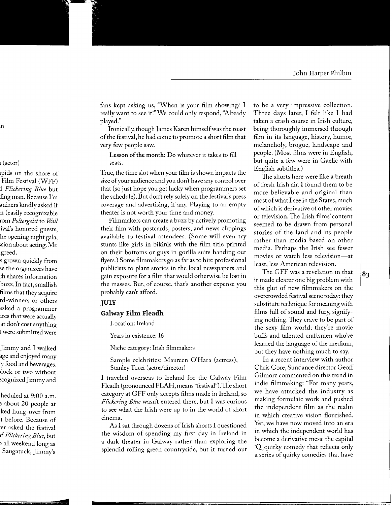fans kept asking us, "When is your film showing? I really want to see it!" We could only respond, "Already" played."

Ironically, though James Karen himself was the toast of the festival, he had come to promote a short film that very few people saw.

Lesson of the month: Do whatever it takes to fill seats.

True, the time slot when your film is shown impacts the size of your audience and you don't have any control over that (so just hope you get lucky when programmers set the schedule). But don't rely solely on the festival's press coverage and advertising, if any. Playing to an empty theater is not worth your time and money.

Filmmakers can create a buzz by actively promoting their film with postcards, posters, and news clippings available to festival attendees. (Some will even try stunts like girls in bikinis with the film title printed on their bottoms or guys in gorilla suits handing out flyers.) Some filmmakers go as far as to hire professional publicists to plant stories in the local newspapers and gain exposure for a film that would otherwise be lost in the masses. But, of course, that's another expense you probably can't afford.

# **JULY**

#### **Galway film Ileadh**

Location: Ireland

Years in existence: 16

Niche category: Irish filmmakers

Sample celebrities: Maureen O'Hara (actress), Stanley Tucci (actor/director)

I traveled overseas to Ireland for the Galway Film Fleadh (pronounced FLAH, means "festival"). The short category at GFF only accepts films made in Ireland, so *Flickering Blue* wasn't entered there, but I was curious to see what the Irish were up to in the world of short cinema.

As I sat through dozens of Irish shorts I questioned the wisdom of spending my first day in Ireland in a dark theater in Galway rather than exploring the splendid rolling green countryside, but it turned out to be a very impressive collection. Three days later, I felt like I had taken a crash course in Irish culture, being thoroughly immersed through film in its language, history, humor, melancholy, brogue, landscape and people. (Most films were in English, but quite a few were in Gaelic with English subtitles.)

The shorts here were like a breath of fresh Irish air. I found them to be more believable and original than most of what I see in the States, much of which is derivative of other movies or television. The Irish films' content seemed to be drawn from personal stories of the land and its people rather than media based on other media. Perhaps the Irish see fewer movies or watch less television-at least, less American television.

The GFF was a revelation in that it made clearer one big problem with this glut of new filmmakers on the overcrowded festival scene today: they substitute technique for meaning with films full of sound and fury, signifying nothing. They crave to be part of the sexy film world; they're movie buffs and talented craftsmen who've learned the language of the medium, but they have nothing much to say.

In a recent interview with author Chris Gore, Sundance director Geoff Gilmore commented on this trend in indie filmmaking: "For many years, we have attacked the industry as making formulaic work and pushed the independent film as the realm in which creative vision flourished. Yet, we have now moved into an era in which the independent world has become a derivative mess: the capital 'Q' quirky comedy that reflects only a series of quirky comedies that have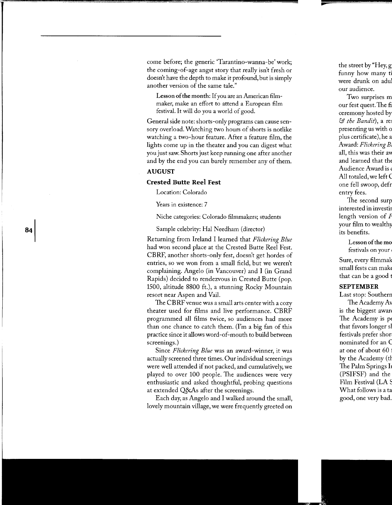come before; the generic 'Tarantino-wanna-be' work; the coming-of-age angst story that really isn't fresh or doesn't have the depth to make it profound, but is simply another version of the same tale."

Lesson of the month: If you are an American filmmaker, make an effort to attend a European film festival. It will do you a world of good.

General side note: shorts-only programs can cause sensory overload. Watching two hours of shorts is notlike watching a two-hour feature. After a feature film, the lights come up in the theater and you can digest what you just saw. Shorts just keep running one after another and by the end you can barely remember any of them.

#### **AUGUST**

### **Crested Butte Reel fest**

Location: Colorado

Years in existence: 7

Niche categories: Colorado filmmakers; students

Sample celebrity: Hal Needham (director)

Returning from Ireland I learned that *Flickering Blue*  had won second place at the Crested Butte Reel Fest. CBRF, another shorts-only fest, doesn't get hordes of entries, so we won from a small field, but we weren't complaining. Angelo (in Vancouver) and I (in Grand Rapids) decided to rendezvous in Crested Butte (pop. 1500, altitude 8800 ft.), a stunning Rocky Mountain resort near Aspen and Vail.

The CBRF venue was a small arts center with a cozy theater used for films and live performance. CBRF programmed all films twice, so audiences had more than one chance to catch them. (I'm a big fan of this practice since it allows word-of-mouth to build between screenings.)

Since *Flickering Blue* was an award-winner, it was actually screened three times. Our individual screenings were well attended if not packed, and cumulatively, we played to over 100 people. The audiences were very enthusiastic and asked thoughtful, probing questions at extended Q&As after the screenings.

Each day, as Angelo and I walked around the small, lovely mountain village, we were frequently greeted on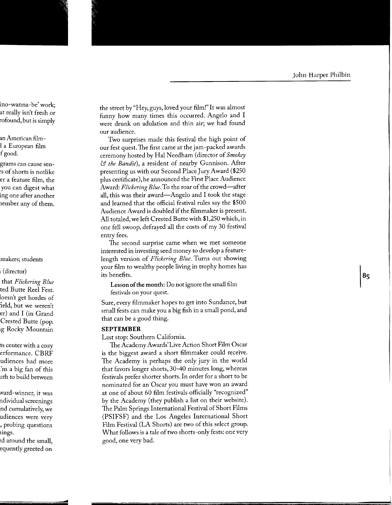the street by"Hey, guys, loved your film!"It was almost funny how many times this occurred. Angelo and I were drunk on adulation and thin air; we had found our audience.

Two surprises made this festival the high point of our fest quest. The first came at the jam-packed awards ceremony hosted by Hal Needham (director of *Smokey*  & *the Bandit),* a resident of nearby Gunnison. After presenting us with our Second Place Jury Award (\$250 plus certificate), he announced the First Place Audience Award: Flickering Blue. To the roar of the crowd-after all, this was their award—Angelo and I took the stage and learned that the official festival rules say the \$500 Audience Award is doubled if the filmmaker is present. All totaled, we left Crested Butte with \$1,250 which, in one fell swoop, defrayed all the costs of my 30 festival entry fees.

The second surprise came when we met someone interested in investing seed money to develop a featurelength version of *Flickering Blue.* Turns out showing your film to wealthy people living in trophy homes has its benefits.

Lesson of **the month:** Do not ignore the small film festivals on your quest.

Sure, every filmmaker hopes to get into Sundance, but small fests can make you a big fish in a small pond, and that can be a good thing.

#### **SEPTEMBER**

Last stop: Southern California.

The Academy Awards'Live Action Short Fum Oscar is the biggest award a short filmmaker could receive. The Academy is perhaps the only jury in the world that favors longer shorts, 30-40 minutes long, whereas festivals prefer shorter shorts. In order for a short to be nominated for an Oscar you must have won an award at one of about 60 film festivals officially "recognized" by the Academy (they publish a list on their website). The Palm Springs International Festival of Short Films (PSIFSF) and the Los Angeles International Short Film Festival (LA Shorts) are two of this select group. What follows is a tale of two shorts-only fests: one very good, one very bad.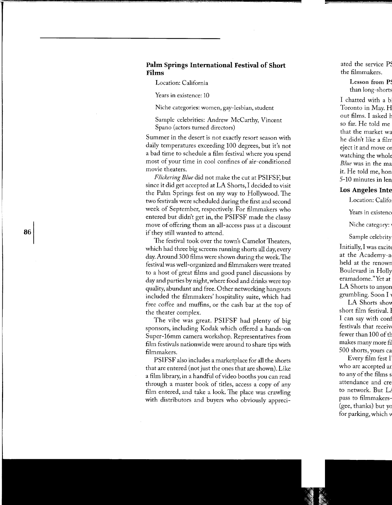# **Palm Springs Intemational Festival of Short Films**

Location: California

Years in existence: 10

Niche categories: women, gay-lesbian, student

Sample celebrities: Andrew McCarthy, Vincent Spano (actors turned directors)

Summer in the desert is not exactly resort season with daily temperatures exceeding 100 degrees, but it's not a bad time to schedule a film festival where you spend most of your time in cool confines of air-conditioned movie theaters.

*Flickering Blue* did not make the cut at PSIFSF, but since it did get accepted at LA Shorts, I decided to visit the Palm Springs fest on my way to Hollywood. The two festivals were scheduled during the first and second week of September, respectively. For filmmakers who entered but didn't get in, the PSIFSF made the classy move of offering them an all-access pass at a discount if they still wanted to attend.

The festival took over the town's Camelot Theaters, which had three big screens running shorts all day, every day. Around 300 films were shown during the week. The festival was well-organized and filmmakers were treated to a host of great films and good panel discussions by day and parties by night, where food and drinks were top quality, abundant and free. Other networking hangouts included the filmmakers' hospitality suite, which had free coffee and muffins, or the cash bar at the top of the theater complex.

The vibe was great. PSIFSF had plenty of big sponsors, including Kodak which offered a hands-on Super-16mm camera workshop. Representatives from film festivals nationwide were around to share tips with filmmakers.

PSIFSF also includes a marketplace for **all** the shorts that are entered (not just the ones that are shown). Like a film library, in a handful of video booths you can read through a master book of titles, access a copy of any film entered, and take a look. The place was crawling with distributors and buyers who obviously appreci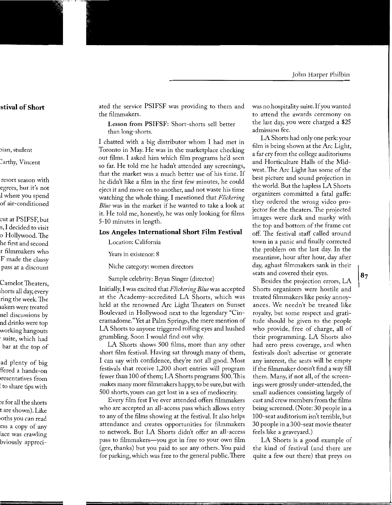ated the service PSIFSF was providing to them and the filmmakers.

Lesson from PSIFSF: Short-shorts sell better than long-shorts.

I chatted with a big distributor whom I had met in Toronto in May. He was in the marketplace checking out films. I asked him which film programs he'd seen so far. He told me he hadn't attended any screenings, that the market was a much better use of his time. If he didn't like a film in the first few minutes, he could eject it and move on to another, and not waste his time watching the whole thing. I mentioned that *Flickering Blue* was in the market if he wanted to take a look at it. He told me, honestly, he was only looking for films 5-10 minutes in length.

#### **los Angeles Intemational Short Film Festival**

Location: California

Years in existence: 8

Niche category: women directors

Sample celebrity: Bryan Singer (director)

Initially, I was excited that *Flickering Blue* was accepted at the Academy-accredited LA Shorts, which was held at the renowned Arc Light Theaters on Sunset Boulevard in Hollywood next to the legendary "Cineramadome."Yet at Palm Springs, the mere mention of LA Shorts to anyone triggered rolling eyes and hushed grumbling. Soon I would find out why.

LA Shorts shows 500 films, more than any other short film festival. Having sat through many of them, I can say with confidence, they're not all good. Most festivals that receive 1,200 short entries will program fewer than 100 of them; LA Shorts programs 500.1his makes many more filmmakers happy, to be sure, but with 500 shorts, yours can get lost in a sea of mediocrity.

Every film fest I've ever attended offers filmmakers who are accepted an all-access pass which allows entry to any of the films showing at the festival. It also helps attendance and creates opportunities for filmmakers to network. But LA Shorts didn't offer an all-access pass to filmmakers—you got in free to your own film (gee, thanks) but you paid to see any others. You paid for parking, which was free to the general public. There was no hospitality suite. If you wanted to attend the awards ceremony on the last day, you were charged a \$25 admission fee.

LA Shorts had only one perk: your film is being shown at the Arc Light, a far cry from the college auditoriums and Horticulture Halls of the Midwest. The Arc Light has some of the best picture and sound projection in the world. But the hapless LA Shorts organizers committed a fatal gaffe: they ordered the wrong video projector for the theaters. The projected images were dark and murky with the top and bottom of the frame cut off. The festival staff called around town in a panic and finally corrected the problem on the last day. In the meantime, hour after hour, day after day, aghast filmmakers sank in their seats and covered their eyes.

Besides the projection errors, LA Shorts organizers were hostile and treated filmmakers like pesky annoyances. We needn't be treated like royalty, but some respect and gratitude should be given to the people who provide, free of charge, all of their programming. LA Shorts also had zero press coverage, and when festivals don't advertise or generate any interest, the seats will be empty if the filmmaker doesn't find a way fill them. Many, if not all, of the screenings were grossly under-attended, the small audiences consisting largely of cast and crew members from the films being screened. (Note: 30 people in a 100-seat auditorium isn't terrible, but 30 people in a 300-seat movie theater feels like a graveyard.)

LA Shorts is a good example of the kind of festival (and there are quite a few out there) that preys on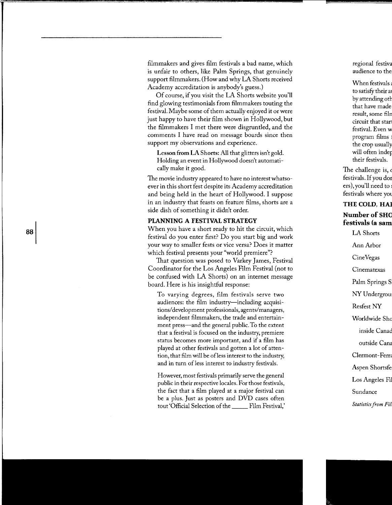filmmakers and gives film festivals a bad name, which is unfair to others, like Palm Springs, that genuinely support filmmakers. (How and why LA Shorts received Academy accreditation is anybody's guess.)

Of course, if you visit the LA Shorts website you'll find glowing testimonials from filmmakers touting the festival. Maybe some of them actually enjoyed it or were just happy to have their film shown in Hollywood, but the filmmakers I met there were disgruntled, and the comments I have read on message boards since then support my observations and experience.

Lesson from LA Shorts: All that glitters isn't gold. Holding an event in Hollywood doesn't automatically make it good.

The movie industry appeared to have no interest whatsoever in this short fest despite its Academy accreditation and being held in the heart of Hollywood. I suppose in an industry that feasts on feature films, shorts are a side dish of something it didn't order.

#### **PLANNING A FESTIVAL STRATEGY**

When you have a short ready to hit the circuit, which festival do you enter first? Do you start big and work your way to smaller fests or vice versa? Does it matter which festival presents your "world premiere"?

That question was posed to Varkey James, Festival Coordinator for the Los Angeles Film Festival (not to be confused with LA Shorts) on an internet message board. Here is his insightful response:

To varying degrees, film festivals serve two audiences: the film industry—including acquisitions/ development professionals, agents/managers, independent filmmakers, the trade and entertainment press—and the general public. To the extent that a festival is focused on the industry, premiere status becomes more important, and if a film has played at other festivals and gotten a lot of attention, that film will be of less interest to the industry, and in turn of less interest to industry festivals.

However, most festivals primarily serve the general public in their respective locales. For those festivals, the fact that a film played at a major festival can be a plus. Just as posters and DVD cases often tout 'Official Selection of the \_\_\_\_\_ Film Festival,'